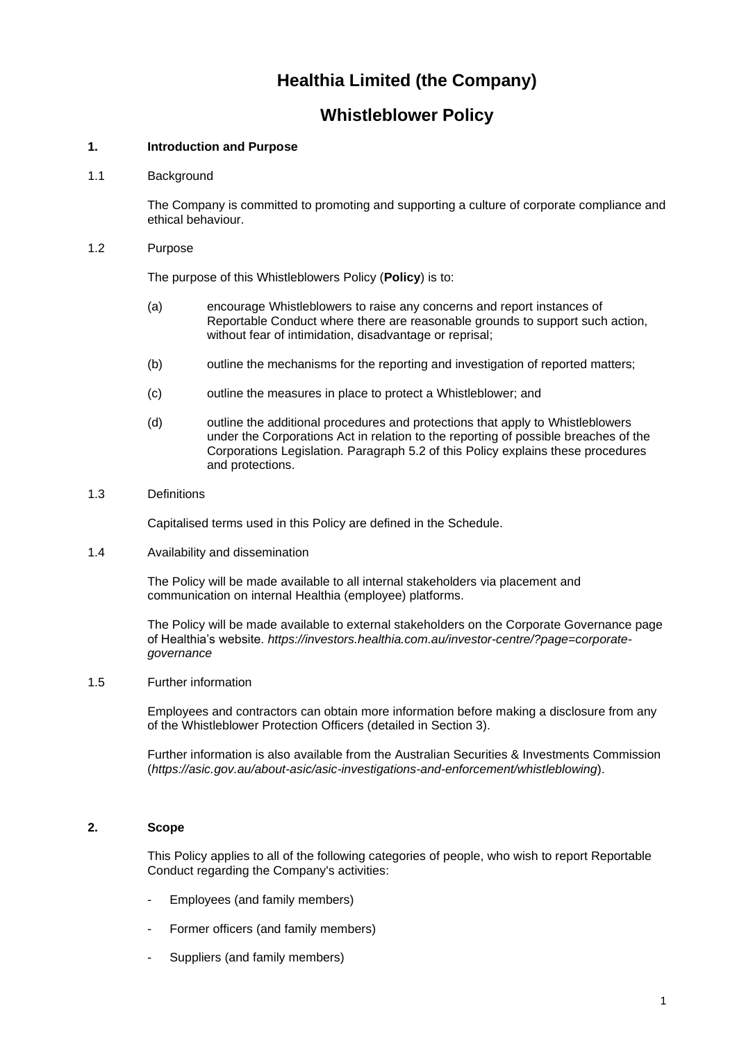# **Healthia Limited (the Company)**

## **Whistleblower Policy**

## **1. Introduction and Purpose**

1.1 Background

The Company is committed to promoting and supporting a culture of corporate compliance and ethical behaviour.

1.2 Purpose

The purpose of this Whistleblowers Policy (**Policy**) is to:

- (a) encourage Whistleblowers to raise any concerns and report instances of Reportable Conduct where there are reasonable grounds to support such action, without fear of intimidation, disadvantage or reprisal;
- (b) outline the mechanisms for the reporting and investigation of reported matters;
- (c) outline the measures in place to protect a Whistleblower; and
- (d) outline the additional procedures and protections that apply to Whistleblowers under the Corporations Act in relation to the reporting of possible breaches of the Corporations Legislation. Paragraph [5.2](#page-3-0) of this Policy explains these procedures and protections.

## 1.3 Definitions

Capitalised terms used in this Policy are defined in the Schedule.

1.4 Availability and dissemination

The Policy will be made available to all internal stakeholders via placement and communication on internal Healthia (employee) platforms.

The Policy will be made available to external stakeholders on the Corporate Governance page of Healthia's website. *[https://investors.healthia.com.au/investor-centre/?page=corporate](https://investors.healthia.com.au/investor-centre/?page=corporate-governance)[governance](https://investors.healthia.com.au/investor-centre/?page=corporate-governance)*

1.5 Further information

Employees and contractors can obtain more information before making a disclosure from any of the Whistleblower Protection Officers (detailed in Section 3).

Further information is also available from the Australian Securities & Investments Commission (*<https://asic.gov.au/about-asic/asic-investigations-and-enforcement/whistleblowing>*).

## **2. Scope**

This Policy applies to all of the following categories of people, who wish to report Reportable Conduct regarding the Company's activities:

- Employees (and family members)
- Former officers (and family members)
- Suppliers (and family members)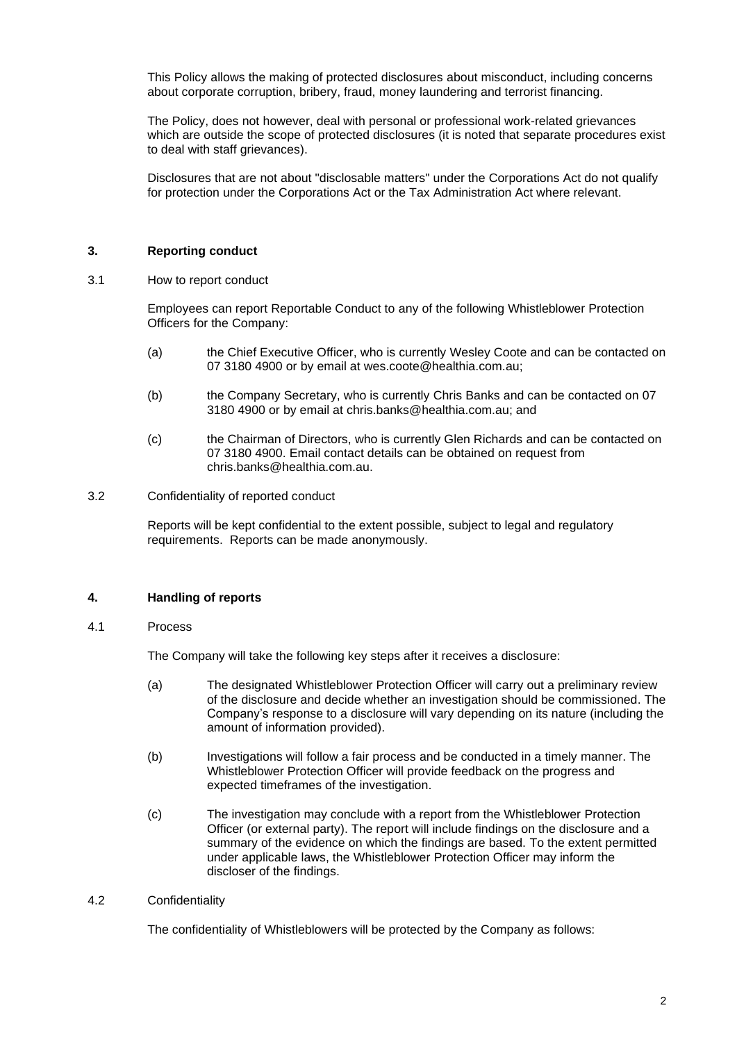This Policy allows the making of protected disclosures about misconduct, including concerns about corporate corruption, bribery, fraud, money laundering and terrorist financing.

The Policy, does not however, deal with personal or professional work-related grievances which are outside the scope of protected disclosures (it is noted that separate procedures exist to deal with staff grievances).

Disclosures that are not about "disclosable matters" under the Corporations Act do not qualify for protection under the Corporations Act or the Tax Administration Act where relevant.

## **3. Reporting conduct**

3.1 How to report conduct

Employees can report Reportable Conduct to any of the following Whistleblower Protection Officers for the Company:

- (a) the Chief Executive Officer, who is currently Wesley Coote and can be contacted on 07 3180 4900 or by email at wes.coote@healthia.com.au;
- (b) the Company Secretary, who is currently Chris Banks and can be contacted on 07 3180 4900 or by email at [chris.banks@healthia.com.au;](mailto:chris.banks@healthia.com.au) and
- (c) the Chairman of Directors, who is currently Glen Richards and can be contacted on 07 3180 4900. Email contact details can be obtained on request from [chris.banks@healthia.com.au.](mailto:chris.banks@healthia.com.au)
- 3.2 Confidentiality of reported conduct

Reports will be kept confidential to the extent possible, subject to legal and regulatory requirements. Reports can be made anonymously.

## **4. Handling of reports**

#### 4.1 Process

The Company will take the following key steps after it receives a disclosure:

- (a) The designated Whistleblower Protection Officer will carry out a preliminary review of the disclosure and decide whether an investigation should be commissioned. The Company's response to a disclosure will vary depending on its nature (including the amount of information provided).
- (b) Investigations will follow a fair process and be conducted in a timely manner. The Whistleblower Protection Officer will provide feedback on the progress and expected timeframes of the investigation.
- (c) The investigation may conclude with a report from the Whistleblower Protection Officer (or external party). The report will include findings on the disclosure and a summary of the evidence on which the findings are based. To the extent permitted under applicable laws, the Whistleblower Protection Officer may inform the discloser of the findings.

## 4.2 Confidentiality

The confidentiality of Whistleblowers will be protected by the Company as follows: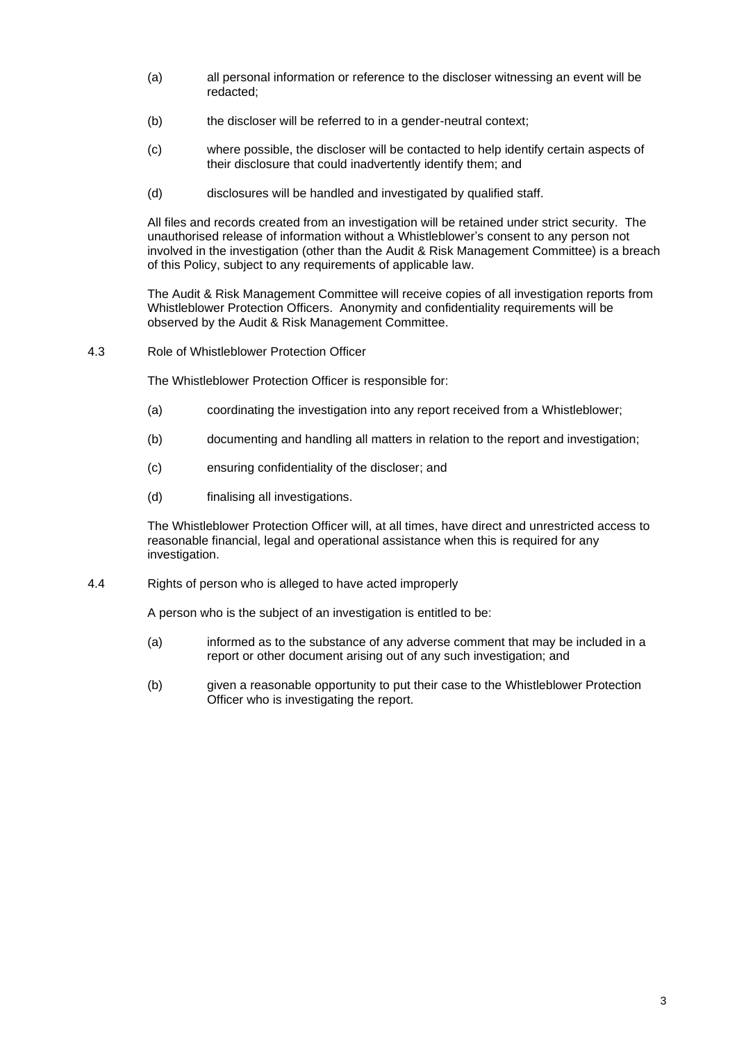- (a) all personal information or reference to the discloser witnessing an event will be redacted;
- (b) the discloser will be referred to in a gender-neutral context;
- (c) where possible, the discloser will be contacted to help identify certain aspects of their disclosure that could inadvertently identify them; and
- (d) disclosures will be handled and investigated by qualified staff.

All files and records created from an investigation will be retained under strict security. The unauthorised release of information without a Whistleblower's consent to any person not involved in the investigation (other than the Audit & Risk Management Committee) is a breach of this Policy, subject to any requirements of applicable law.

The Audit & Risk Management Committee will receive copies of all investigation reports from Whistleblower Protection Officers. Anonymity and confidentiality requirements will be observed by the Audit & Risk Management Committee.

4.3 Role of Whistleblower Protection Officer

The Whistleblower Protection Officer is responsible for:

- (a) coordinating the investigation into any report received from a Whistleblower;
- (b) documenting and handling all matters in relation to the report and investigation;
- (c) ensuring confidentiality of the discloser; and
- (d) finalising all investigations.

The Whistleblower Protection Officer will, at all times, have direct and unrestricted access to reasonable financial, legal and operational assistance when this is required for any investigation.

4.4 Rights of person who is alleged to have acted improperly

A person who is the subject of an investigation is entitled to be:

- (a) informed as to the substance of any adverse comment that may be included in a report or other document arising out of any such investigation; and
- (b) given a reasonable opportunity to put their case to the Whistleblower Protection Officer who is investigating the report.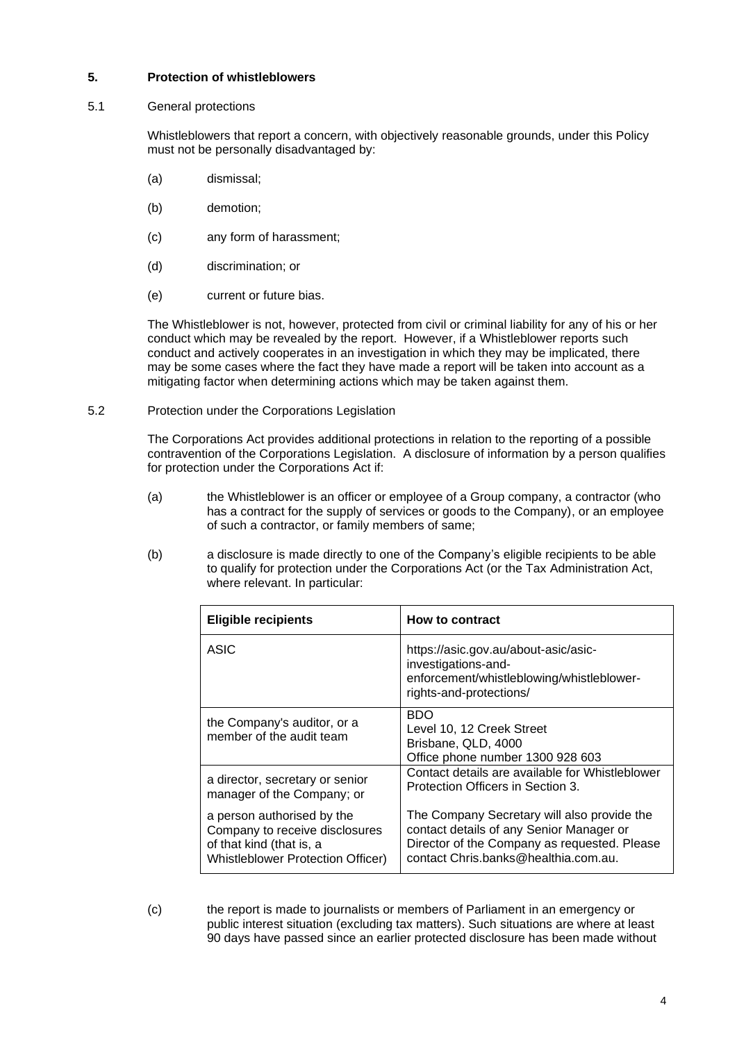## **5. Protection of whistleblowers**

#### 5.1 General protections

Whistleblowers that report a concern, with objectively reasonable grounds, under this Policy must not be personally disadvantaged by:

- (a) dismissal;
- (b) demotion;
- (c) any form of harassment;
- (d) discrimination; or
- (e) current or future bias.

The Whistleblower is not, however, protected from civil or criminal liability for any of his or her conduct which may be revealed by the report. However, if a Whistleblower reports such conduct and actively cooperates in an investigation in which they may be implicated, there may be some cases where the fact they have made a report will be taken into account as a mitigating factor when determining actions which may be taken against them.

#### <span id="page-3-0"></span>5.2 Protection under the Corporations Legislation

The Corporations Act provides additional protections in relation to the reporting of a possible contravention of the Corporations Legislation. A disclosure of information by a person qualifies for protection under the Corporations Act if:

- (a) the Whistleblower is an officer or employee of a Group company, a contractor (who has a contract for the supply of services or goods to the Company), or an employee of such a contractor, or family members of same;
- (b) a disclosure is made directly to one of the Company's eligible recipients to be able to qualify for protection under the Corporations Act (or the Tax Administration Act, where relevant. In particular:

| <b>Eligible recipients</b>                                                                                                           | <b>How to contract</b>                                                                                                                                                          |
|--------------------------------------------------------------------------------------------------------------------------------------|---------------------------------------------------------------------------------------------------------------------------------------------------------------------------------|
| ASIC                                                                                                                                 | https://asic.gov.au/about-asic/asic-<br>investigations-and-<br>enforcement/whistleblowing/whistleblower-<br>rights-and-protections/                                             |
| the Company's auditor, or a<br>member of the audit team                                                                              | <b>BDO</b><br>Level 10, 12 Creek Street<br>Brisbane, QLD, 4000<br>Office phone number 1300 928 603                                                                              |
| a director, secretary or senior<br>manager of the Company; or                                                                        | Contact details are available for Whistleblower<br>Protection Officers in Section 3.                                                                                            |
| a person authorised by the<br>Company to receive disclosures<br>of that kind (that is, a<br><b>Whistleblower Protection Officer)</b> | The Company Secretary will also provide the<br>contact details of any Senior Manager or<br>Director of the Company as requested. Please<br>contact Chris.banks@healthia.com.au. |

(c) the report is made to journalists or members of Parliament in an emergency or public interest situation (excluding tax matters). Such situations are where at least 90 days have passed since an earlier protected disclosure has been made without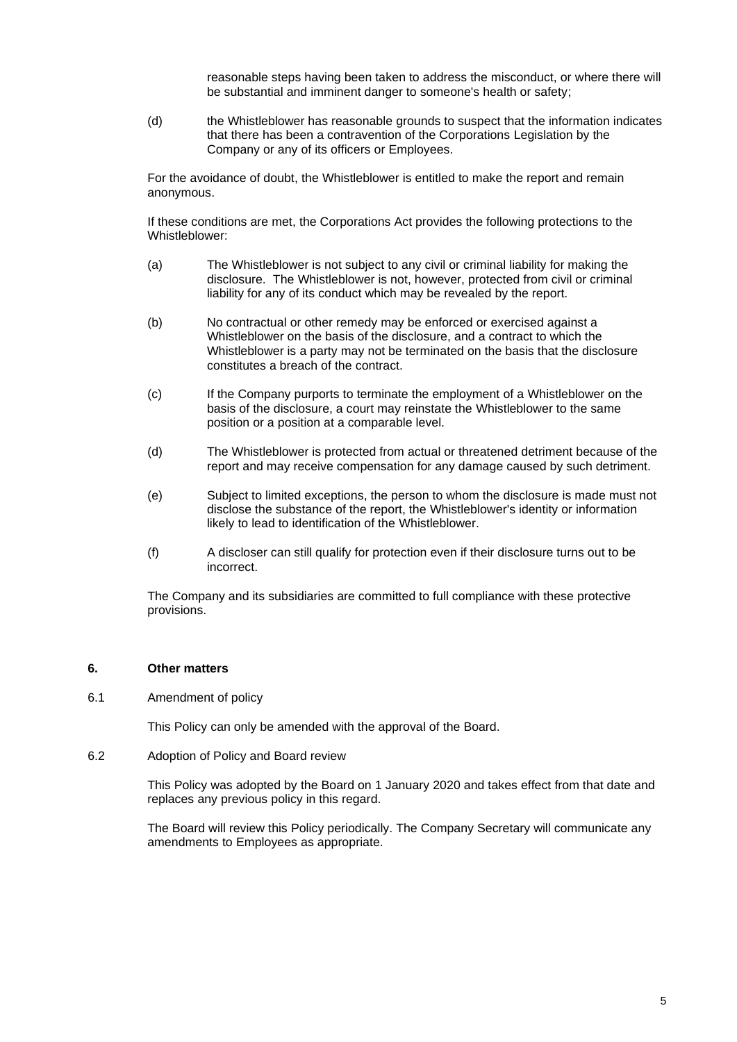reasonable steps having been taken to address the misconduct, or where there will be substantial and imminent danger to someone's health or safety;

(d) the Whistleblower has reasonable grounds to suspect that the information indicates that there has been a contravention of the Corporations Legislation by the Company or any of its officers or Employees.

For the avoidance of doubt, the Whistleblower is entitled to make the report and remain anonymous.

If these conditions are met, the Corporations Act provides the following protections to the Whistleblower:

- (a) The Whistleblower is not subject to any civil or criminal liability for making the disclosure. The Whistleblower is not, however, protected from civil or criminal liability for any of its conduct which may be revealed by the report.
- (b) No contractual or other remedy may be enforced or exercised against a Whistleblower on the basis of the disclosure, and a contract to which the Whistleblower is a party may not be terminated on the basis that the disclosure constitutes a breach of the contract.
- (c) If the Company purports to terminate the employment of a Whistleblower on the basis of the disclosure, a court may reinstate the Whistleblower to the same position or a position at a comparable level.
- (d) The Whistleblower is protected from actual or threatened detriment because of the report and may receive compensation for any damage caused by such detriment.
- (e) Subject to limited exceptions, the person to whom the disclosure is made must not disclose the substance of the report, the Whistleblower's identity or information likely to lead to identification of the Whistleblower.
- (f) A discloser can still qualify for protection even if their disclosure turns out to be incorrect.

The Company and its subsidiaries are committed to full compliance with these protective provisions.

## **6. Other matters**

6.1 Amendment of policy

This Policy can only be amended with the approval of the Board.

6.2 Adoption of Policy and Board review

This Policy was adopted by the Board on 1 January 2020 and takes effect from that date and replaces any previous policy in this regard.

The Board will review this Policy periodically. The Company Secretary will communicate any amendments to Employees as appropriate.